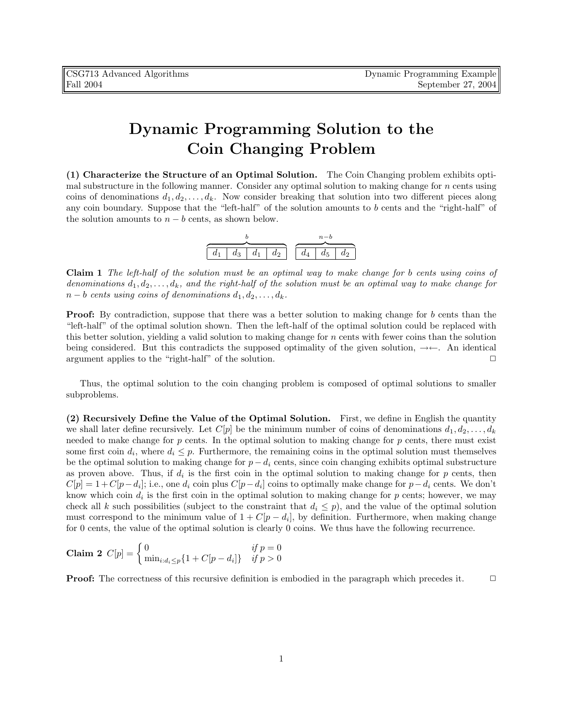## Dynamic Programming Solution to the Coin Changing Problem

(1) Characterize the Structure of an Optimal Solution. The Coin Changing problem exhibits optimal substructure in the following manner. Consider any optimal solution to making change for  $n$  cents using coins of denominations  $d_1, d_2, \ldots, d_k$ . Now consider breaking that solution into two different pieces along any coin boundary. Suppose that the "left-half" of the solution amounts to b cents and the "right-half" of the solution amounts to  $n - b$  cents, as shown below.

| $d_1$ | $d_3$ | $d_1$ | $d_2$ | $\sim$ 1 $\sim$ | $d_4$ | $d_5$ | $d_2$ |  |
|-------|-------|-------|-------|-----------------|-------|-------|-------|--|

Claim 1 The left-half of the solution must be an optimal way to make change for b cents using coins of denominations  $d_1, d_2, \ldots, d_k$ , and the right-half of the solution must be an optimal way to make change for  $n - b$  cents using coins of denominations  $d_1, d_2, \ldots, d_k$ .

**Proof:** By contradiction, suppose that there was a better solution to making change for b cents than the "left-half" of the optimal solution shown. Then the left-half of the optimal solution could be replaced with this better solution, yielding a valid solution to making change for n cents with fewer coins than the solution being considered. But this contradicts the supposed optimality of the given solution,  $\rightarrow \leftarrow$ . An identical argument applies to the "right-half" of the solution.

Thus, the optimal solution to the coin changing problem is composed of optimal solutions to smaller subproblems.

(2) Recursively Define the Value of the Optimal Solution. First, we define in English the quantity we shall later define recursively. Let  $C[p]$  be the minimum number of coins of denominations  $d_1, d_2, \ldots, d_k$ needed to make change for  $p$  cents. In the optimal solution to making change for  $p$  cents, there must exist some first coin  $d_i$ , where  $d_i \leq p$ . Furthermore, the remaining coins in the optimal solution must themselves be the optimal solution to making change for  $p - d_i$  cents, since coin changing exhibits optimal substructure as proven above. Thus, if  $d_i$  is the first coin in the optimal solution to making change for  $p$  cents, then  $C[p] = 1 + C[p - d_i]$ ; i.e., one  $d_i$  coin plus  $C[p - d_i]$  coins to optimally make change for  $p - d_i$  cents. We don't know which coin  $d_i$  is the first coin in the optimal solution to making change for  $p$  cents; however, we may check all k such possibilities (subject to the constraint that  $d_i \leq p$ ), and the value of the optimal solution must correspond to the minimum value of  $1 + C[p - d_i]$ , by definition. Furthermore, when making change for 0 cents, the value of the optimal solution is clearly 0 coins. We thus have the following recurrence.

**Claim 2** 
$$
C[p] = \begin{cases} 0 & \text{if } p = 0\\ \min_{i:d_i \leq p} \{1 + C[p - d_i]\} & \text{if } p > 0 \end{cases}
$$

**Proof:** The correctness of this recursive definition is embodied in the paragraph which precedes it.  $\Box$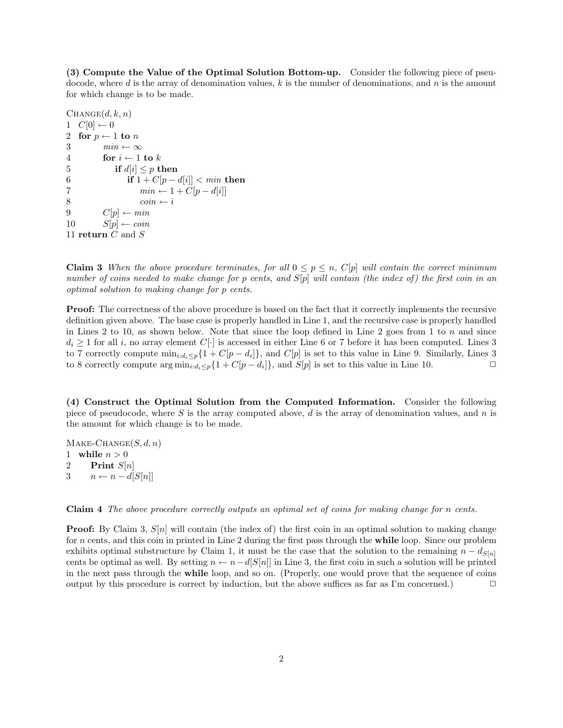(3) Compute the Value of the Optimal Solution Bottom-up. Consider the following piece of pseudocode, where d is the array of denomination values, k is the number of denominations, and n is the amount for which change is to be made.

```
CHANGE(d, k, n)1 C[0] \leftarrow 02 for p \leftarrow 1 to n
3 min \leftarrow \infty4 for i \leftarrow 1 to k
5 if d[i] \leq p then
6 if 1 + C[p - d[i]] < min then
7 min \leftarrow 1 + C[p - d[i]]8 coin ← i
9 C[p] \leftarrow min10 S[p] \leftarrow coin11 return C and S
```
**Claim 3** When the above procedure terminates, for all  $0 \leq p \leq n$ , C[p] will contain the correct minimum number of coins needed to make change for p cents, and  $S[p]$  will contain (the index of) the first coin in an optimal solution to making change for p cents.

**Proof:** The correctness of the above procedure is based on the fact that it correctly implements the recursive definition given above. The base case is properly handled in Line 1, and the recursive case is properly handled in Lines 2 to 10, as shown below. Note that since the loop defined in Line 2 goes from 1 to n and since  $d_i \geq 1$  for all i, no array element  $C[\cdot]$  is accessed in either Line 6 or 7 before it has been computed. Lines 3 to 7 correctly compute  $\min_{i:d_i\leq p}\{1+C[p-d_i]\}\$ , and  $C[p]$  is set to this value in Line 9. Similarly, Lines 3 to 8 correctly compute  $\arg \min_{i:d_i \leq p} \{1 + C[p - d_i]\},$  and  $S[p]$  is set to this value in Line 10.

(4) Construct the Optimal Solution from the Computed Information. Consider the following piece of pseudocode, where S is the array computed above, d is the array of denomination values, and n is the amount for which change is to be made.

 $\text{MAKE-CHANGE}(S, d, n)$ 1 while  $n > 0$ 2 Print  $S[n]$ 3  $n \leftarrow n - d[S[n]]$ 

Claim 4 The above procedure correctly outputs an optimal set of coins for making change for n cents.

**Proof:** By Claim 3,  $S[n]$  will contain (the index of) the first coin in an optimal solution to making change for n cents, and this coin in printed in Line 2 during the first pass through the while loop. Since our problem exhibits optimal substructure by Claim 1, it must be the case that the solution to the remaining  $n - d_{S[n]}$ cents be optimal as well. By setting  $n \leftarrow n - d[S[n]]$  in Line 3, the first coin in such a solution will be printed in the next pass through the while loop, and so on. (Properly, one would prove that the sequence of coins output by this procedure is correct by induction, but the above suffices as far as I'm concerned.)  $\Box$